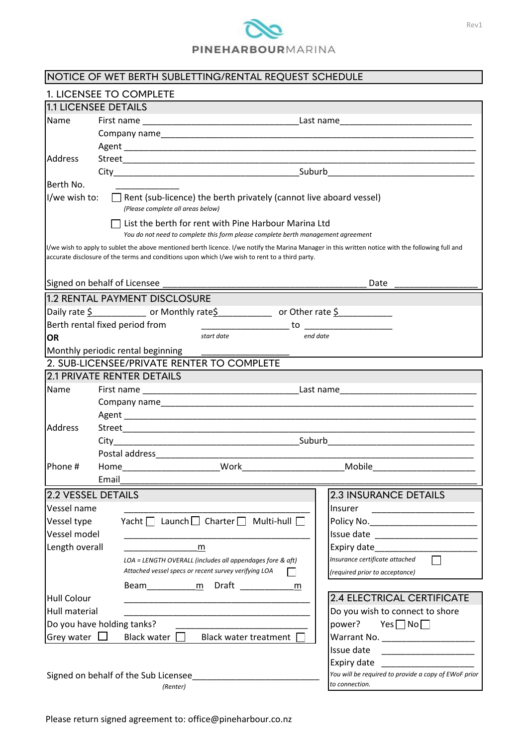

| NOTICE OF WET BERTH SUBLETTING/RENTAL REQUEST SCHEDULE                                                                                                                                                                                              |                                                           |                                                      |  |  |
|-----------------------------------------------------------------------------------------------------------------------------------------------------------------------------------------------------------------------------------------------------|-----------------------------------------------------------|------------------------------------------------------|--|--|
| 1. LICENSEE TO COMPLETE                                                                                                                                                                                                                             |                                                           |                                                      |  |  |
| 1.1 LICENSEE DETAILS                                                                                                                                                                                                                                |                                                           |                                                      |  |  |
| <b>Name</b>                                                                                                                                                                                                                                         |                                                           |                                                      |  |  |
|                                                                                                                                                                                                                                                     |                                                           |                                                      |  |  |
|                                                                                                                                                                                                                                                     |                                                           |                                                      |  |  |
| Address                                                                                                                                                                                                                                             |                                                           |                                                      |  |  |
|                                                                                                                                                                                                                                                     |                                                           |                                                      |  |  |
| Berth No.                                                                                                                                                                                                                                           |                                                           |                                                      |  |  |
| I/we wish to:<br>$\Box$ Rent (sub-licence) the berth privately (cannot live aboard vessel)                                                                                                                                                          |                                                           |                                                      |  |  |
| (Please complete all areas below)                                                                                                                                                                                                                   |                                                           |                                                      |  |  |
| $\Box$ List the berth for rent with Pine Harbour Marina Ltd                                                                                                                                                                                         |                                                           |                                                      |  |  |
| You do not need to complete this form please complete berth management agreement                                                                                                                                                                    |                                                           |                                                      |  |  |
| I/we wish to apply to sublet the above mentioned berth licence. I/we notify the Marina Manager in this written notice with the following full and<br>accurate disclosure of the terms and conditions upon which I/we wish to rent to a third party. |                                                           |                                                      |  |  |
|                                                                                                                                                                                                                                                     |                                                           |                                                      |  |  |
| Date                                                                                                                                                                                                                                                |                                                           |                                                      |  |  |
|                                                                                                                                                                                                                                                     | 1.2 RENTAL PAYMENT DISCLOSURE                             |                                                      |  |  |
| Daily rate $\frac{6}{5}$ or Monthly rate $\frac{6}{5}$ or Other rate $\frac{6}{5}$                                                                                                                                                                  |                                                           |                                                      |  |  |
| Berth rental fixed period from                                                                                                                                                                                                                      |                                                           |                                                      |  |  |
| start date<br>end date<br><b>OR</b>                                                                                                                                                                                                                 |                                                           |                                                      |  |  |
| Monthly periodic rental beginning                                                                                                                                                                                                                   |                                                           |                                                      |  |  |
|                                                                                                                                                                                                                                                     | 2. SUB-LICENSEE/PRIVATE RENTER TO COMPLETE                |                                                      |  |  |
|                                                                                                                                                                                                                                                     | <b>2.1 PRIVATE RENTER DETAILS</b>                         |                                                      |  |  |
| <b>Name</b>                                                                                                                                                                                                                                         |                                                           |                                                      |  |  |
|                                                                                                                                                                                                                                                     |                                                           |                                                      |  |  |
|                                                                                                                                                                                                                                                     |                                                           |                                                      |  |  |
| <b>Address</b>                                                                                                                                                                                                                                      |                                                           |                                                      |  |  |
|                                                                                                                                                                                                                                                     |                                                           |                                                      |  |  |
|                                                                                                                                                                                                                                                     |                                                           |                                                      |  |  |
| Phone #                                                                                                                                                                                                                                             | Work<br>Home                                              | Mobile                                               |  |  |
|                                                                                                                                                                                                                                                     | Email                                                     |                                                      |  |  |
| 2.2 VESSEL DETAILS<br><b>2.3 INSURANCE DETAILS</b>                                                                                                                                                                                                  |                                                           |                                                      |  |  |
| Vessel name                                                                                                                                                                                                                                         |                                                           | Insurer<br>________________________                  |  |  |
| Yacht   Launch   Charter   Multi-hull  <br>Vessel type                                                                                                                                                                                              |                                                           |                                                      |  |  |
| Vessel model                                                                                                                                                                                                                                        |                                                           |                                                      |  |  |
| Length overall                                                                                                                                                                                                                                      | m                                                         | Expiry date                                          |  |  |
|                                                                                                                                                                                                                                                     | LOA = LENGTH OVERALL (includes all appendages fore & aft) | Insurance certificate attached                       |  |  |
|                                                                                                                                                                                                                                                     | Attached vessel specs or recent survey verifying LOA      | (required prior to acceptance)                       |  |  |
|                                                                                                                                                                                                                                                     | Beam <u>m</u> Draft<br>m                                  |                                                      |  |  |
| <b>Hull Colour</b>                                                                                                                                                                                                                                  |                                                           | 2.4 ELECTRICAL CERTIFICATE                           |  |  |
| Hull material                                                                                                                                                                                                                                       |                                                           | Do you wish to connect to shore                      |  |  |
| Do you have holding tanks?                                                                                                                                                                                                                          |                                                           | power?<br>Yes $\Box$ No $\Box$                       |  |  |
| Grey water $\Box$<br>Black water $\Box$<br>Black water treatment $\Box$                                                                                                                                                                             |                                                           |                                                      |  |  |
|                                                                                                                                                                                                                                                     |                                                           | Issue date                                           |  |  |
|                                                                                                                                                                                                                                                     |                                                           | Expiry date                                          |  |  |
|                                                                                                                                                                                                                                                     | Signed on behalf of the Sub Licensee                      | You will be required to provide a copy of EWoF prior |  |  |
|                                                                                                                                                                                                                                                     | (Renter)                                                  | to connection.                                       |  |  |

Rev1